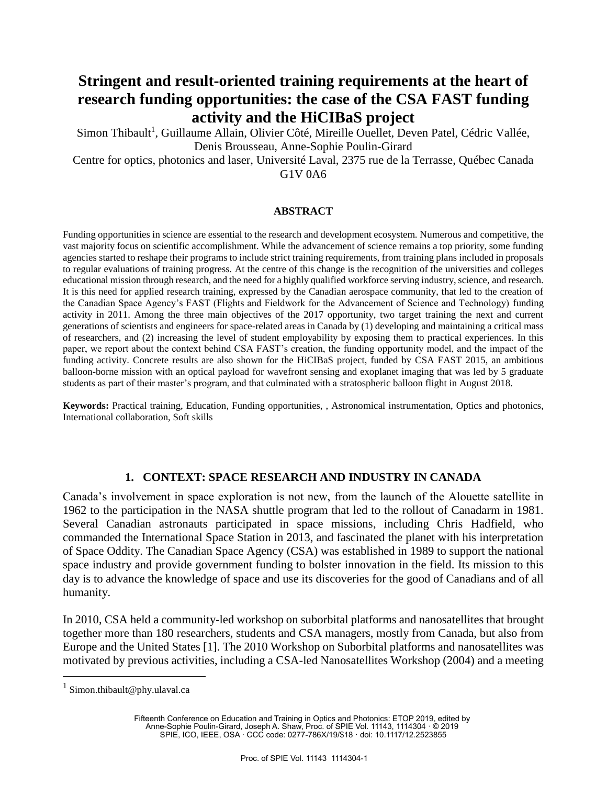# **Stringent and result-oriented training requirements at the heart of research funding opportunities: the case of the CSA FAST funding activity and the HiCIBaS project**

Simon Thibault<sup>1</sup>, Guillaume Allain, Olivier Côté, Mireille Ouellet, Deven Patel, Cédric Vallée, Denis Brousseau, Anne-Sophie Poulin-Girard

Centre for optics, photonics and laser, Université Laval, 2375 rue de la Terrasse, Québec Canada G1V 0A6

#### **ABSTRACT**

Funding opportunities in science are essential to the research and development ecosystem. Numerous and competitive, the vast majority focus on scientific accomplishment. While the advancement of science remains a top priority, some funding agencies started to reshape their programs to include strict training requirements, from training plans included in proposals to regular evaluations of training progress. At the centre of this change is the recognition of the universities and colleges educational mission through research, and the need for a highly qualified workforce serving industry, science, and research. It is this need for applied research training, expressed by the Canadian aerospace community, that led to the creation of the Canadian Space Agency's FAST (Flights and Fieldwork for the Advancement of Science and Technology) funding activity in 2011. Among the three main objectives of the 2017 opportunity, two target training the next and current generations of scientists and engineers for space-related areas in Canada by (1) developing and maintaining a critical mass of researchers, and (2) increasing the level of student employability by exposing them to practical experiences. In this paper, we report about the context behind CSA FAST's creation, the funding opportunity model, and the impact of the funding activity. Concrete results are also shown for the HiCIBaS project, funded by CSA FAST 2015, an ambitious balloon-borne mission with an optical payload for wavefront sensing and exoplanet imaging that was led by 5 graduate students as part of their master's program, and that culminated with a stratospheric balloon flight in August 2018.

**Keywords:** Practical training, Education, Funding opportunities, , Astronomical instrumentation, Optics and photonics, International collaboration, Soft skills

### **1. CONTEXT: SPACE RESEARCH AND INDUSTRY IN CANADA**

Canada's involvement in space exploration is not new, from the launch of the Alouette satellite in 1962 to the participation in the NASA shuttle program that led to the rollout of Canadarm in 1981. Several Canadian astronauts participated in space missions, including Chris Hadfield, who commanded the International Space Station in 2013, and fascinated the planet with his interpretation of Space Oddity. The Canadian Space Agency (CSA) was established in 1989 to support the national space industry and provide government funding to bolster innovation in the field. Its mission to this day is to advance the knowledge of space and use its discoveries for the good of Canadians and of all humanity.

In 2010, CSA held a community-led workshop on suborbital platforms and nanosatellites that brought together more than 180 researchers, students and CSA managers, mostly from Canada, but also from Europe and the United States [1]. The 2010 Workshop on Suborbital platforms and nanosatellites was motivated by previous activities, including a CSA-led Nanosatellites Workshop (2004) and a meeting

<u>.</u>

Fifteenth Conference on Education and Training in Optics and Photonics: ETOP 2019, edited by Anne-Sophie Poulin-Girard, Joseph A. Shaw, Proc. of SPIE Vol. 11143, 1114304 · © 2019 SPIE, ICO, IEEE, OSA · CCC code: 0277-786X/19/\$18 · doi: 10.1117/12.2523855

<sup>&</sup>lt;sup>1</sup> Simon.thibault@phy.ulaval.ca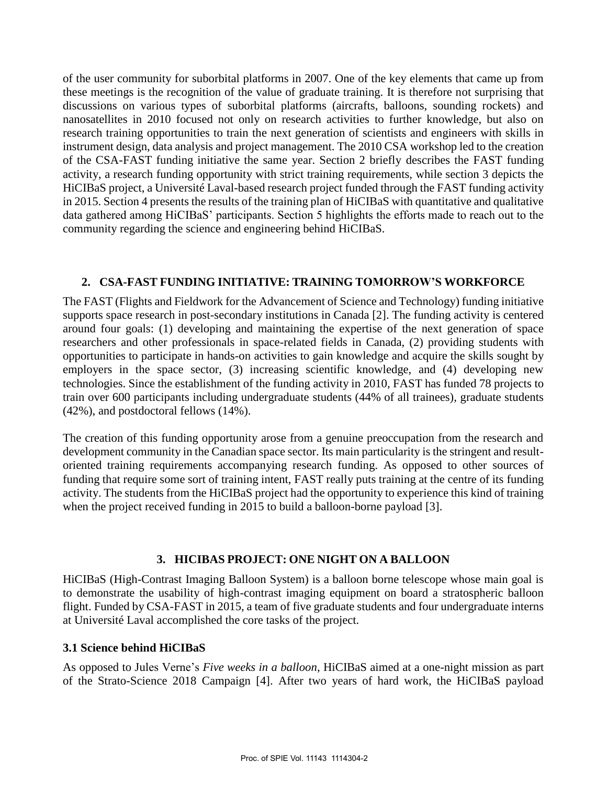of the user community for suborbital platforms in 2007. One of the key elements that came up from these meetings is the recognition of the value of graduate training. It is therefore not surprising that discussions on various types of suborbital platforms (aircrafts, balloons, sounding rockets) and nanosatellites in 2010 focused not only on research activities to further knowledge, but also on research training opportunities to train the next generation of scientists and engineers with skills in instrument design, data analysis and project management. The 2010 CSA workshop led to the creation of the CSA-FAST funding initiative the same year. Section 2 briefly describes the FAST funding activity, a research funding opportunity with strict training requirements, while section 3 depicts the HiCIBaS project, a Université Laval-based research project funded through the FAST funding activity in 2015. Section 4 presents the results of the training plan of HiCIBaS with quantitative and qualitative data gathered among HiCIBaS' participants. Section 5 highlights the efforts made to reach out to the community regarding the science and engineering behind HiCIBaS.

### **2. CSA-FAST FUNDING INITIATIVE: TRAINING TOMORROW'S WORKFORCE**

The FAST (Flights and Fieldwork for the Advancement of Science and Technology) funding initiative supports space research in post-secondary institutions in Canada [2]. The funding activity is centered around four goals: (1) developing and maintaining the expertise of the next generation of space researchers and other professionals in space-related fields in Canada, (2) providing students with opportunities to participate in hands-on activities to gain knowledge and acquire the skills sought by employers in the space sector, (3) increasing scientific knowledge, and (4) developing new technologies. Since the establishment of the funding activity in 2010, FAST has funded 78 projects to train over 600 participants including undergraduate students (44% of all trainees), graduate students (42%), and postdoctoral fellows (14%).

The creation of this funding opportunity arose from a genuine preoccupation from the research and development community in the Canadian space sector. Its main particularity is the stringent and resultoriented training requirements accompanying research funding. As opposed to other sources of funding that require some sort of training intent, FAST really puts training at the centre of its funding activity. The students from the HiCIBaS project had the opportunity to experience this kind of training when the project received funding in 2015 to build a balloon-borne payload [3].

## **3. HICIBAS PROJECT: ONE NIGHT ON A BALLOON**

HiCIBaS (High-Contrast Imaging Balloon System) is a balloon borne telescope whose main goal is to demonstrate the usability of high-contrast imaging equipment on board a stratospheric balloon flight. Funded by CSA-FAST in 2015, a team of five graduate students and four undergraduate interns at Université Laval accomplished the core tasks of the project.

### **3.1 Science behind HiCIBaS**

As opposed to Jules Verne's *Five weeks in a balloon*, HiCIBaS aimed at a one-night mission as part of the Strato-Science 2018 Campaign [4]. After two years of hard work, the HiCIBaS payload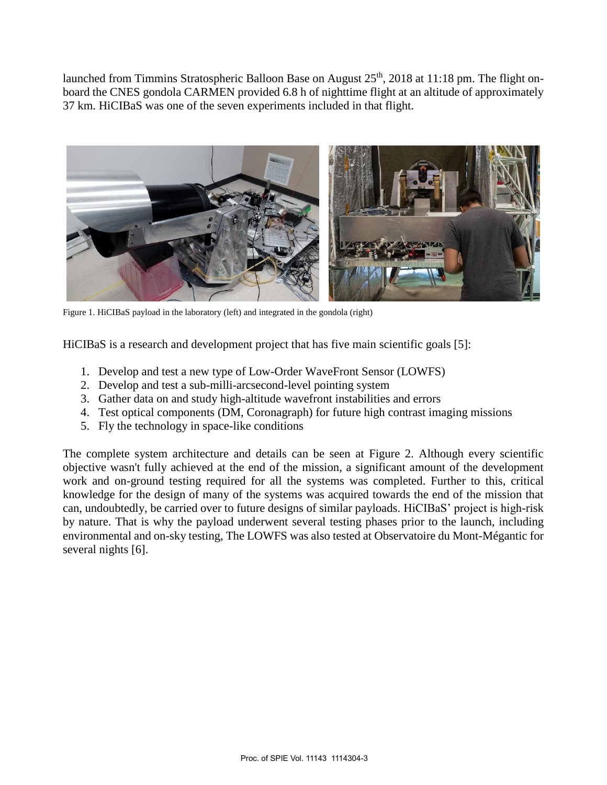launched from Timmins Stratospheric Balloon Base on August 25<sup>th</sup>, 2018 at 11:18 pm. The flight onboard the CNES gondola CARMEN provided 6.8 h of nighttime flight at an altitude of approximately 37 km. HiCIBaS was one of the seven experiments included in that flight.



Figure 1. HiCIBaS payload in the laboratory (left) and integrated in the gondola (right)

HiCIBaS is a research and development project that has five main scientific goals [5]:

- 1. Develop and test a new type of Low-Order WaveFront Sensor (LOWFS)
- 2. Develop and test a sub-milli-arcsecond-level pointing system
- 3. Gather data on and study high-altitude wavefront instabilities and errors
- 4. Test optical components (DM, Coronagraph) for future high contrast imaging missions
- 5. Fly the technology in space-like conditions

The complete system architecture and details can be seen at Figure 2. Although every scientific objective wasn't fully achieved at the end of the mission, a significant amount of the development work and on-ground testing required for all the systems was completed. Further to this, critical knowledge for the design of many of the systems was acquired towards the end of the mission that can, undoubtedly, be carried over to future designs of similar payloads. HiCIBaS' project is high-risk by nature. That is why the payload underwent several testing phases prior to the launch, including environmental and on-sky testing, The LOWFS was also tested at Observatoire du Mont-Mégantic for several nights [6].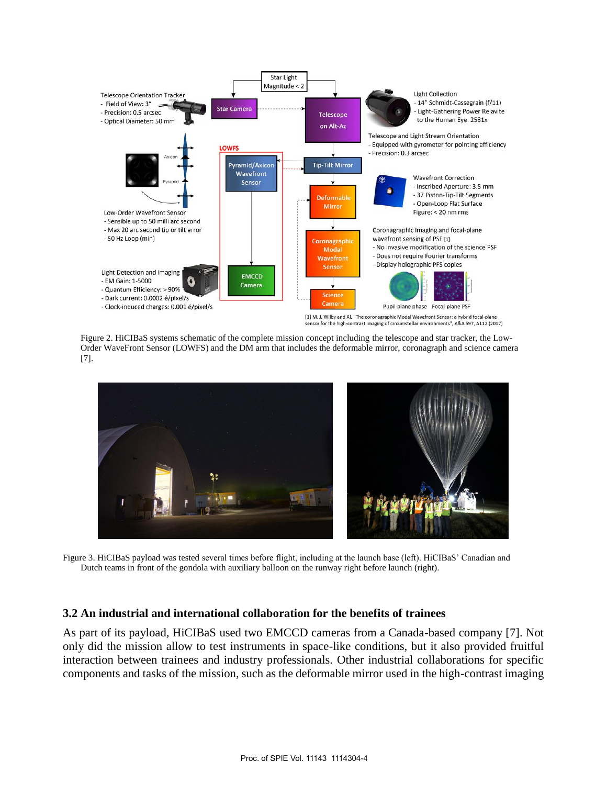

Figure 2. HiCIBaS systems schematic of the complete mission concept including the telescope and star tracker, the Low-Order WaveFront Sensor (LOWFS) and the DM arm that includes the deformable mirror, coronagraph and science camera [7].



Figure 3. HiCIBaS payload was tested several times before flight, including at the launch base (left). HiCIBaS' Canadian and Dutch teams in front of the gondola with auxiliary balloon on the runway right before launch (right).

### **3.2 An industrial and international collaboration for the benefits of trainees**

As part of its payload, HiCIBaS used two EMCCD cameras from a Canada-based company [7]. Not only did the mission allow to test instruments in space-like conditions, but it also provided fruitful interaction between trainees and industry professionals. Other industrial collaborations for specific components and tasks of the mission, such as the deformable mirror used in the high-contrast imaging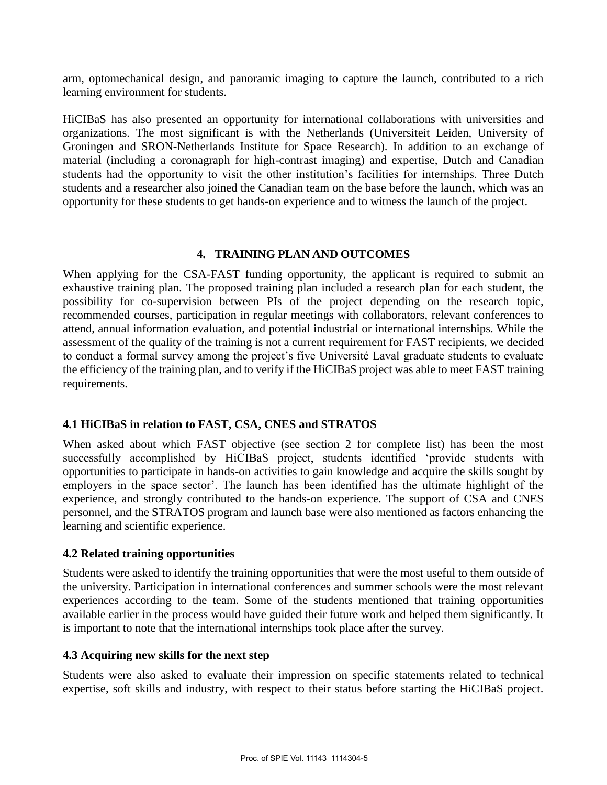arm, optomechanical design, and panoramic imaging to capture the launch, contributed to a rich learning environment for students.

HiCIBaS has also presented an opportunity for international collaborations with universities and organizations. The most significant is with the Netherlands (Universiteit Leiden, University of Groningen and SRON-Netherlands Institute for Space Research). In addition to an exchange of material (including a coronagraph for high-contrast imaging) and expertise, Dutch and Canadian students had the opportunity to visit the other institution's facilities for internships. Three Dutch students and a researcher also joined the Canadian team on the base before the launch, which was an opportunity for these students to get hands-on experience and to witness the launch of the project.

### **4. TRAINING PLAN AND OUTCOMES**

When applying for the CSA-FAST funding opportunity, the applicant is required to submit an exhaustive training plan. The proposed training plan included a research plan for each student, the possibility for co-supervision between PIs of the project depending on the research topic, recommended courses, participation in regular meetings with collaborators, relevant conferences to attend, annual information evaluation, and potential industrial or international internships. While the assessment of the quality of the training is not a current requirement for FAST recipients, we decided to conduct a formal survey among the project's five Université Laval graduate students to evaluate the efficiency of the training plan, and to verify if the HiCIBaS project was able to meet FAST training requirements.

### **4.1 HiCIBaS in relation to FAST, CSA, CNES and STRATOS**

When asked about which FAST objective (see section 2 for complete list) has been the most successfully accomplished by HiCIBaS project, students identified 'provide students with opportunities to participate in hands-on activities to gain knowledge and acquire the skills sought by employers in the space sector'. The launch has been identified has the ultimate highlight of the experience, and strongly contributed to the hands-on experience. The support of CSA and CNES personnel, and the STRATOS program and launch base were also mentioned as factors enhancing the learning and scientific experience.

### **4.2 Related training opportunities**

Students were asked to identify the training opportunities that were the most useful to them outside of the university. Participation in international conferences and summer schools were the most relevant experiences according to the team. Some of the students mentioned that training opportunities available earlier in the process would have guided their future work and helped them significantly. It is important to note that the international internships took place after the survey.

### **4.3 Acquiring new skills for the next step**

Students were also asked to evaluate their impression on specific statements related to technical expertise, soft skills and industry, with respect to their status before starting the HiCIBaS project.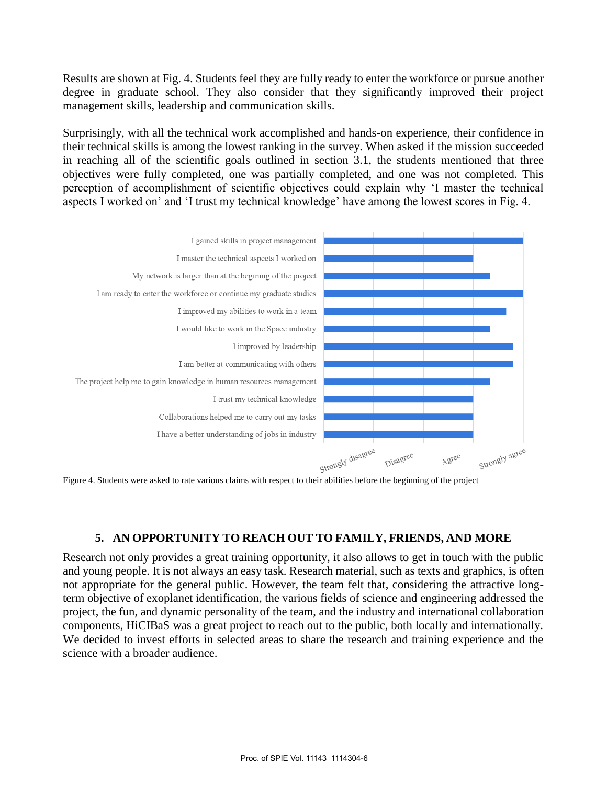Results are shown at Fig. 4. Students feel they are fully ready to enter the workforce or pursue another degree in graduate school. They also consider that they significantly improved their project management skills, leadership and communication skills.

Surprisingly, with all the technical work accomplished and hands-on experience, their confidence in their technical skills is among the lowest ranking in the survey. When asked if the mission succeeded in reaching all of the scientific goals outlined in section 3.1, the students mentioned that three objectives were fully completed, one was partially completed, and one was not completed. This perception of accomplishment of scientific objectives could explain why 'I master the technical aspects I worked on' and 'I trust my technical knowledge' have among the lowest scores in Fig. 4.



### **5. AN OPPORTUNITY TO REACH OUT TO FAMILY, FRIENDS, AND MORE**

Research not only provides a great training opportunity, it also allows to get in touch with the public and young people. It is not always an easy task. Research material, such as texts and graphics, is often not appropriate for the general public. However, the team felt that, considering the attractive longterm objective of exoplanet identification, the various fields of science and engineering addressed the project, the fun, and dynamic personality of the team, and the industry and international collaboration components, HiCIBaS was a great project to reach out to the public, both locally and internationally. We decided to invest efforts in selected areas to share the research and training experience and the science with a broader audience.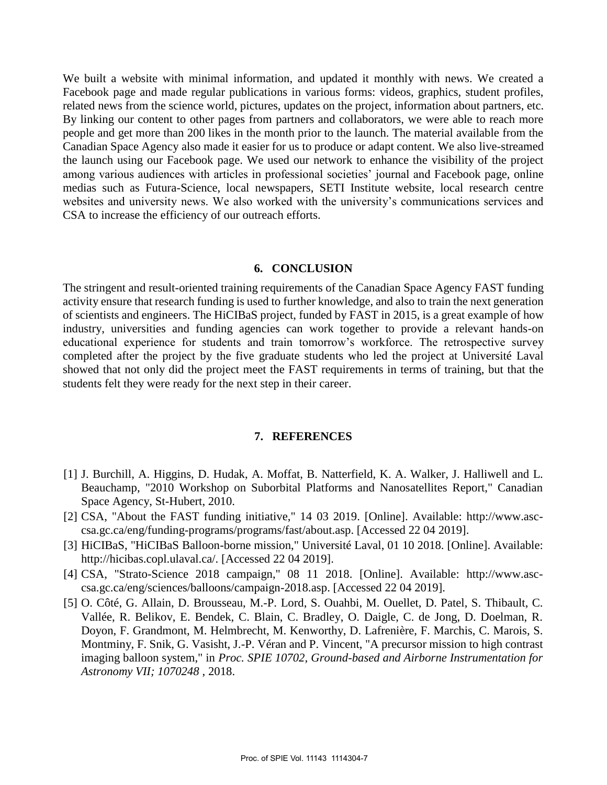We built a website with minimal information, and updated it monthly with news. We created a Facebook page and made regular publications in various forms: videos, graphics, student profiles, related news from the science world, pictures, updates on the project, information about partners, etc. By linking our content to other pages from partners and collaborators, we were able to reach more people and get more than 200 likes in the month prior to the launch. The material available from the Canadian Space Agency also made it easier for us to produce or adapt content. We also live-streamed the launch using our Facebook page. We used our network to enhance the visibility of the project among various audiences with articles in professional societies' journal and Facebook page, online medias such as Futura-Science, local newspapers, SETI Institute website, local research centre websites and university news. We also worked with the university's communications services and CSA to increase the efficiency of our outreach efforts.

#### **6. CONCLUSION**

The stringent and result-oriented training requirements of the Canadian Space Agency FAST funding activity ensure that research funding is used to further knowledge, and also to train the next generation of scientists and engineers. The HiCIBaS project, funded by FAST in 2015, is a great example of how industry, universities and funding agencies can work together to provide a relevant hands-on educational experience for students and train tomorrow's workforce. The retrospective survey completed after the project by the five graduate students who led the project at Université Laval showed that not only did the project meet the FAST requirements in terms of training, but that the students felt they were ready for the next step in their career.

#### **7. REFERENCES**

- [1] J. Burchill, A. Higgins, D. Hudak, A. Moffat, B. Natterfield, K. A. Walker, J. Halliwell and L. Beauchamp, "2010 Workshop on Suborbital Platforms and Nanosatellites Report," Canadian Space Agency, St-Hubert, 2010.
- [2] CSA, "About the FAST funding initiative," 14 03 2019. [Online]. Available: http://www.asccsa.gc.ca/eng/funding-programs/programs/fast/about.asp. [Accessed 22 04 2019].
- [3] HiCIBaS, "HiCIBaS Balloon-borne mission," Université Laval, 01 10 2018. [Online]. Available: http://hicibas.copl.ulaval.ca/. [Accessed 22 04 2019].
- [4] CSA, "Strato-Science 2018 campaign," 08 11 2018. [Online]. Available: http://www.asccsa.gc.ca/eng/sciences/balloons/campaign-2018.asp. [Accessed 22 04 2019].
- [5] O. Côté, G. Allain, D. Brousseau, M.-P. Lord, S. Ouahbi, M. Ouellet, D. Patel, S. Thibault, C. Vallée, R. Belikov, E. Bendek, C. Blain, C. Bradley, O. Daigle, C. de Jong, D. Doelman, R. Doyon, F. Grandmont, M. Helmbrecht, M. Kenworthy, D. Lafrenière, F. Marchis, C. Marois, S. Montminy, F. Snik, G. Vasisht, J.-P. Véran and P. Vincent, "A precursor mission to high contrast imaging balloon system," in *Proc. SPIE 10702, Ground-based and Airborne Instrumentation for Astronomy VII; 1070248* , 2018.